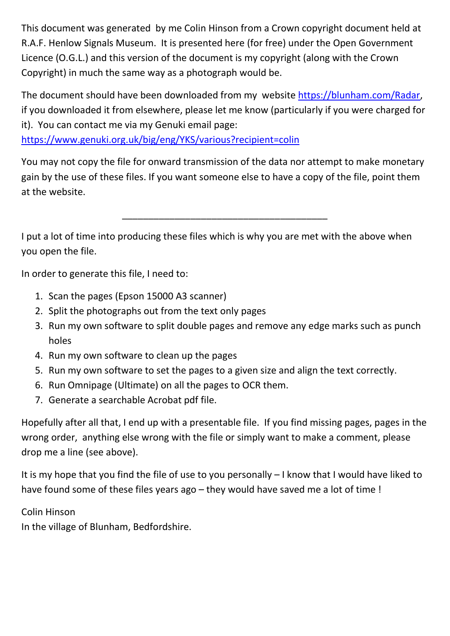This document was generated by me Colin Hinson from a Crown copyright document held at R.A.F. Henlow Signals Museum. It is presented here (for free) under the Open Government Licence (O.G.L.) and this version of the document is my copyright (along with the Crown Copyright) in much the same way as a photograph would be.

The document should have been downloaded from my website https://blunham.com/Radar, if you downloaded it from elsewhere, please let me know (particularly if you were charged for it). You can contact me via my Genuki email page:

https://www.genuki.org.uk/big/eng/YKS/various?recipient=colin

You may not copy the file for onward transmission of the data nor attempt to make monetary gain by the use of these files. If you want someone else to have a copy of the file, point them at the website.

\_\_\_\_\_\_\_\_\_\_\_\_\_\_\_\_\_\_\_\_\_\_\_\_\_\_\_\_\_\_\_\_\_\_\_\_\_\_\_

I put a lot of time into producing these files which is why you are met with the above when you open the file.

In order to generate this file, I need to:

- 1. Scan the pages (Epson 15000 A3 scanner)
- 2. Split the photographs out from the text only pages
- 3. Run my own software to split double pages and remove any edge marks such as punch holes
- 4. Run my own software to clean up the pages
- 5. Run my own software to set the pages to a given size and align the text correctly.
- 6. Run Omnipage (Ultimate) on all the pages to OCR them.
- 7. Generate a searchable Acrobat pdf file.

Hopefully after all that, I end up with a presentable file. If you find missing pages, pages in the wrong order, anything else wrong with the file or simply want to make a comment, please drop me a line (see above).

It is my hope that you find the file of use to you personally – I know that I would have liked to have found some of these files years ago – they would have saved me a lot of time !

## Colin Hinson

In the village of Blunham, Bedfordshire.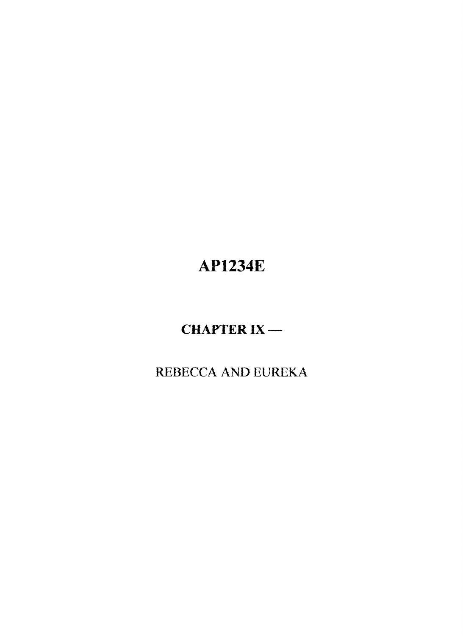# **AP1234E**

# **CHAPTER IX**

REBECCA AND EUREKA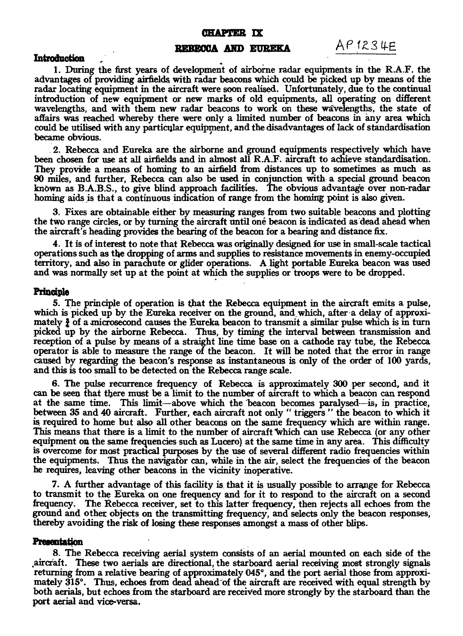#### **CHAPTER IX**

### **REBECCA AND EUREKA**  $AP$  1234E

#### **Introduction ,**

**1. During the first years of development of airborne radar equipments in the R.A.F. the advantages of providing airfields with radar beacons which could be picked up by means of the radar locating equipment in the aircraft were soon realised. Unfortunately, due to the continual introduction of new equipment or new marks of old equipments, all operating on different**  wavelengths, and with them new radar beacons to work on these wavelengths, the state of **affairs was reached whereby there were only a limited number of beacons in any area which could** *be* **utilised with any particular equipment, and the disadvantages of lack of standardisation became obvious.** 

**. 2. Rebecca and Eureka are the airborne and ground equipments respectively which have been chosen for use at all airfields and in almost all R.A.F. aircraft to achieve standardisation. They provide a means of homing to an airfield from distances up to sometimes as much as 90 miles, and further, Rebecca can also be used in conjunction with- a special ground beacon known as B.A.B.S., to** *give* **blind approach facilities. The obvious advantage over non-radar homing aids is that a continuous indication of range from the homing point is also given.** 

**3. Fixes are obtainable either by measuring ranges from two suitable beacons and plotting the two range circles, or by turning the aircraft until one beacon is indicated as dead ahead when the aircraft's heading provides the bearing of the beacon for a bearing and distance fix.** 

**4. It is of interest to note that Rebecca was originally designed for use in small-scale tactical operations such as the dropping of arms and supplies to resistance movements in enemy-occupied territory, and also in parachute or glider operations. A light portable Eureka beacon was used and was normally set up at the point at which the supplies or troops were to be dropped.** 

#### **Principle**

**5. The principle of operation is that the Rebecca equipment in the aircraft emits a pulse,**  which is picked up by the Eureka receiver on the ground, and which, after a delay of approximately  $\frac{3}{2}$  of a microsecond causes the Eureka beacon to transmit a similar pulse which is in turn **picked up by the airborne Rebecca. Thus, by timing the interval between transmission and reception of a pulse by means of a straight line time base on a cathode ray tube, the Rebecca operator is able to measure the range of the beacon. It will be noted that the error in range caused by regarding the beacon's response as instantaneous is only of the order of 100 yards, and this is too small to be detected on the Rebecca range scale.** 

**6. The pulse recurrence frequency of Rebecca is approximately 300 per second, and it can be seen that there must be a limit to the number of aircraft to which a beacon can respond at the same time. This limit—above which the 'beacon becomes paralysed is, in practice, between 35 and 40 aircraft. Further, each aircraft not only " triggers " the beacon to which it is required to home but also all other beacons on the same frequency which are within range. This means that there is a limit to the number of aircraft 'which can use Rebecca (or any other equipment on the same frequencies such as Lucero) at the same time in any area. This difficulty is overcome for mast practical purposes by the use of several different radio frequencies within the equipments. Thus the navigator can, while in the air, select the frequencies of the beacon he requires, leaving other beacons in the vicinity inoperative.** 

**7. A further advantage of this facility is**. **that it is usually possible to arrange for Rebecca to transmit to the Eureka on one frequency and for it to respond to the aircraft on a second**  frequency. The Rebecca receiver, set to this latter frequency, then rejects all echoes from the **ground and other objects on the transmitting frequency, and selects only the beacon responses, thereby avoiding the risk of losing these responses amongst a mass of other blips.** 

#### **Presentation**

**8. The Rebecca receiving aerial system consists of an aerial mounted on each side of the aircraft. These two aerials are directional, the starboard aerial receiving most strongly signals returning from a relative bearing of approximately 045°, and the port aerial those from approxi**mately 315°. Thus, echoes from dead ahead of the aircraft are received with equal strength by **both aerials, but echoes from the starboard are received more strongly by the starboard than the port aerial and vice-versa.**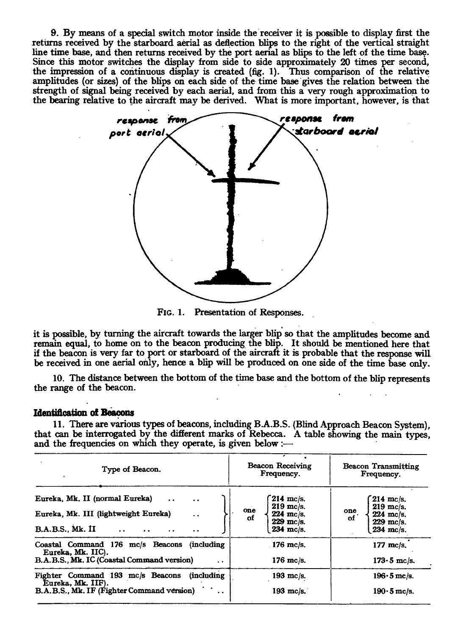**9. By means of a special switch motor inside the receiver it is possible to display first the returns received by the starboard aerial as deflection blips to the right of the vertical straight line time base, and then returns received by the port aerial as blips to the left of the time base.**  Since this motor switches the display from side to side approximately 20 times per second, **the impression of a continuous display is created (fig. 1). Thus comparison of the relative**  amplitudes (or sizes) of the blips on each side of the time base gives the relation between the **strength of signal being received by each aerial, and from this a very rough approximation to the bearing relative to the aircraft may be derived. What is more important, however, is that** 



**FIG. 1. Presentation of Responses.** 

**it is possible, by turning the aircraft towards the larger blip so that the amplitudes become and remain equal, to home on to the beacon producing the blip. It should be mentioned here that if the beacon is very far to port or starboard of the aircraft it is probable that the response will be received in one aerial only, hence a blip will be produced on one side of the time base only.** 

**10. The distance between the bottom of the time base and the bottom of the blip represents the range of the beacon.** 

#### **Identification of Beacons**

**11. There are various types of beacons, including B.A.B.S. (Blind Approach Beacon System), that can be interrogated by the different marks of Rebecca. A table showing the main types, and the frequencies on which they operate, is given below :—** 

| Type of Beacon.                                                                                                                                                                                                                             | Beacon Receiving<br>Frequency.                                                               | <b>Beacon Transmitting</b><br>Frequency.                                             |
|---------------------------------------------------------------------------------------------------------------------------------------------------------------------------------------------------------------------------------------------|----------------------------------------------------------------------------------------------|--------------------------------------------------------------------------------------|
| Eureka, Mk. II (normal Eureka)<br>$\ddot{\phantom{a}}$<br>$\ddot{\phantom{a}}$<br>Eureka, Mk. III (lightweight Eureka)<br>$\ddot{\phantom{a}}$<br>B.A.B.S., Mk. II<br>$\ddot{\phantom{0}}$<br>$\bullet\hspace{0.4mm} \bullet\hspace{0.4mm}$ | $214$ mc/s.<br>$219$ mc/s.<br>one<br>$224$ mc/s.<br>οf<br>$229$ mc/s.<br>$234 \text{ m}c/s.$ | $214$ mc/s.<br>$219$ mc/s.<br>one<br>$224$ mc/s.<br>of<br>$229$ mc/s.<br>$234$ mc/s. |
| Coastal Command 176 mc/s Beacons (including<br>Eureka, Mk. IIC).<br>B.A.B.S., Mk. IC (Coastal Command version)<br>$\ddot{\phantom{0}}$                                                                                                      | $176$ mc/s.<br>$176$ mc/s.                                                                   | $177$ mc/s.<br>$173 \cdot 5$ mc/s.                                                   |
| Fighter Command 193 mc/s Beacons<br><i>(including)</i><br>Eureka, Mk. IIF).<br>B.A.B.S., Mk. IF (Fighter Command version)                                                                                                                   | 193 mc/s.<br>193 mc/s.                                                                       | $196 \cdot 5$ mc/s.<br>$190 \cdot 5$ mc/s.                                           |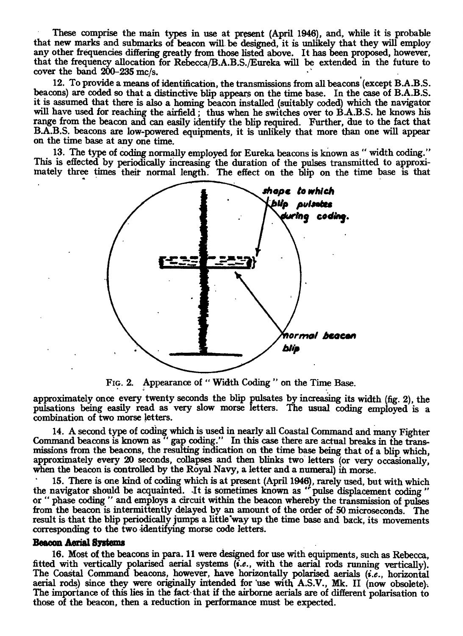**These comprise the main types in use at present (April 1946), and, while it is probable that new marks and submarks of beacon will be designed, it is unlikely that they will employ any other frequencies differing greatly from those listed above. It has been proposed, however, that the frequency allocation for Rebecca/B.A.B.S./Eureka will be extended in the future to cover the band 200-235 mc/s.** 

**12. To provide a means of identification, the transmissions from all beacons (except B.A.B.S. beacons) are coded so that a distinctive blip appears on the time base. In the case of B.A.B.S. it is assumed that there is also a homing beacon installed (suitably coded) which the navigator**  will have used for reaching the airfield ; thus when he switches over to B.A.B.S. he knows his **range from the beacon and can easily identify the blip required. Further, due to the fact that B.A.B.S. beacons are low-powered equipments, it is unlikely that more than one will appear on the time base at any one time.** 

**13. The type of coding normally employed for Eureka beacons is known as " width coding." This is effected by periodically increasing the duration of the pulses transmitted to approxi**mately three times their normal length. The effect on the blip on the time base is that



**FIG. 2. Appearance of " Width Coding " on the Time Base.** 

**approximately once every twenty seconds the blip pulsates by increasing its width (fig. 2), the pulsations being easily read as very slow morse letters. The usual coding employed is a combination of two morse letters.** 

**14. A second type of coding which is used in nearly all Coastal Command and many Fighter Command beacons is known as " gap coding." In this case there are actual breaks in the transmissions from the beacons, the resulting indication on the time base being that of a blip which, approximately every 20 seconds, collapses and then blinks two letters (or very occasionally, when the beacon is controlled by the Royal Navy, a letter and a numeral) in morse.** 

**15. There is one kind of coding which is at present (April 1946), rarely used, but with which**  the navigator should be acquainted. It is sometimes known as " pulse displacement coding" or " phase coding " and employs a circuit within the beacon whereby the transmission of pulses phase coding " and employs a circuit within the beacon whereby the transmission of pulses from the beacon is intermittently delayed by an amount of the order of 50 microseconds. The **result is that the blip periodically jumps a little way up the time base and back, its movements corresponding to the two identifying morse code letters.** 

#### **Beacon Aerial Systems**

**16. Most of the beacons in para. 11 were designed for use with equipments, such as Rebecca, fitted with vertically polarised aerial systems** *(i.e.,* **with the aerial rods running vertically). The Coastal Command beacons, however, have horizontally polarised aerials** *(i.e.,* **horizontal aerial rods) since they were originally intended for 'use with A.S.V., Mk. II (now obsolete). The importance of this lies in the fact-that if the airborne aerials are of different polarisation to those of the beacon, then a reduction in performance must be expected.**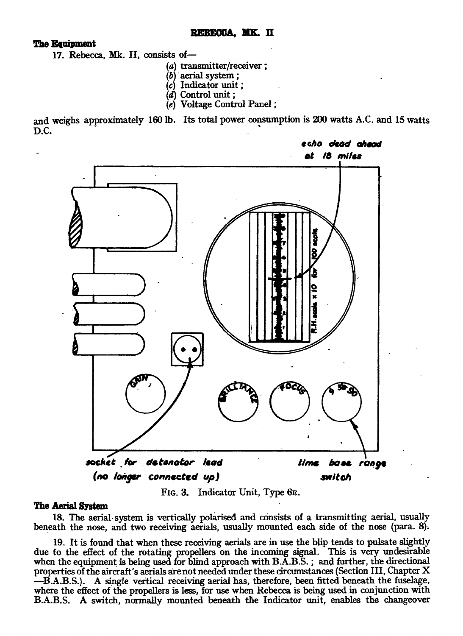#### **REBECCA, MK II**

**The Equipment** 

**17. Rebecca, Mk. II, consists of—** 

- **(a) transmitter/receiver ;**
- **(b) aerial system ;**
- **(c) Indicator unit ;**
- **(d) Control unit ;**
- **(e) Voltage Control Panel ;**

**and weighs approximately 160 lb. Its total power consumption is 200 watts A.C. and 15 watts D.C.** 



**FIG. 3. Indicator Unit, Type 6E.** 

### **The Aerial System**

**18. The aerial- system is vertically polarised and consists of a transmitting aerial, usually beneath the nose, and two receiving aerials, usually mounted each side of the nose (para. 8).** 

**19. It is found that when these receiving aerials are in use the blip tends to pulsate slightly due** fo **the effect of the rotating propellers on the incoming signal. This is very undesirable**  when the equipment is being used for blind approach with B.A.B.S.; and further, the directional **properties of the aircraft's aerials are not needed under these circumstances (Section III, Chapter X —B.A.B.S.). A single vertical receiving aerial has, therefore, been fitted beneath the fuselage, where the effect of the propellers is less, for use when Rebecca is being used in conjunction with B.A.B.S. A switch, normally mounted beneath the Indicator unit, enables the changeover**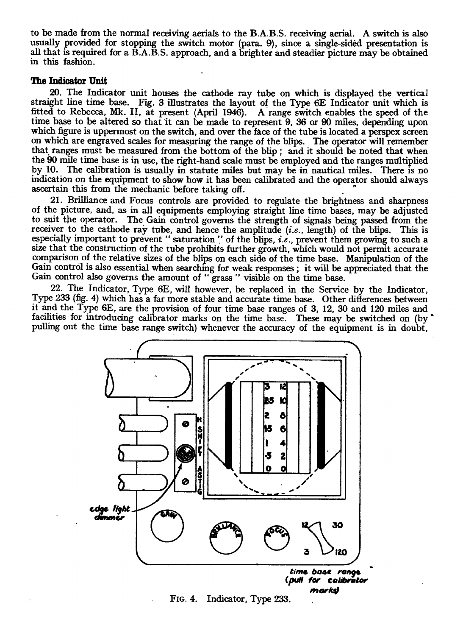to be made from the normal receiving aerials to the B.A.B.S. receiving aerial. A switch is also usually provided for stopping the switch motor (para. 9), since a single-sided presentation is all that is required for a B.A.B.S. approach, and a brighter and steadier picture may be obtained in this fashion.

### **The Indicator Unit**

20. The Indicator unit houses the cathode ray tube on which is displayed the vertical straight line time base. Fig. 3 illustrates the layout of the Type 6E Indicator unit which is fitted to Rebecca, Mk. II, at present (April 1946). A range switch enables the speed of the time base to be altered so that it can be made to represent 9, 36 or 90 miles, depending upon which figure is uppermost on the switch, and over the face of the tube is located a perspex screen on which are engraved scales for measuring the range of the blips. The operator will remember that ranges must be measured from the bottom of the blip ; and it should be noted that when the 90 mile time base is in use, the right-hand scale must be employed and the ranges multiplied by 10. The calibration is usually in statute miles but may be in nautical miles. There is no indication on the equipment to show how it has been calibrated and the operator should always ascertain this from the mechanic before taking off.

21. Brilliance and Focus controls are provided to regulate the brightness and sharpness of the picture, and, as in all equipments employing straight line time bases, may be adjusted to suit the operator. The Gain control governs the strength of signals being passed from the receiver to the cathode ray tube, and hence the amplitude *(i.e.,* length) of the blips. This is especially important to prevent " saturation " of the blips, *i.e.*, prevent them growing to such a size that the construction of the tube prohibits further growth, which would not permit accurate comparison of the relative sizes of the blips on each side of the time base. Manipulation of the Gain control is also essential when searching for weak responses ; it will be appreciated that the Gain control also governs the amount of " grass " visible on the time base.

22. The Indicator, Type 6E, will however, be replaced in the Service by the Indicator, Type 233 (fig. 4) which has a far more stable and accurate time base. Other differences between it and the Type 6E, are the provision of four time base ranges of 3, 12, 30 and 120 miles and facilities for introducing calibrator marks on the time base. These may be switched on (by pulling out the time base range switch) whenever the accuracy of the equipment is in doubt,



FIG. 4. Indicator, Type 233.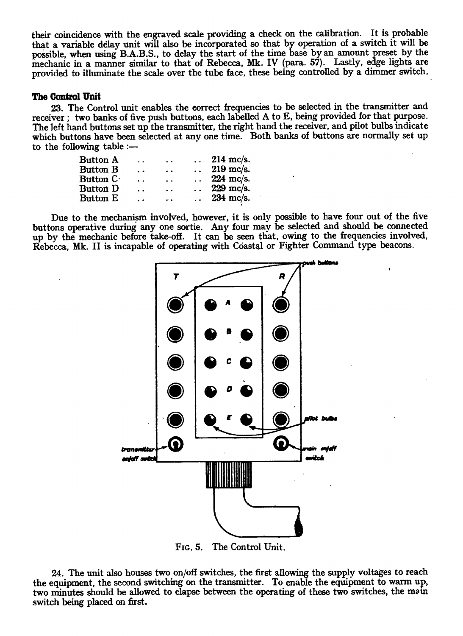**their coincidence with the engraved scale providing a check on the calibration. It is probable that a variable delay unit will also be incorporated so that by operation of a switch it will be possible, when using B.A.B.S., to delay the start of the time base by an amount preset by the mechanic in a manner similar to that of Rebecca, Mk. IV (para. 57). Lastly, edge lights are provided to illuminate the scale over the tube face, these being controlled by a dimmer switch.** 

#### **The Control Unit**

**23. The Control unit enables the correct frequencies to be selected in the transmitter and receiver ; two banks of five push buttons, each labelled A to E, being provided for that purpose. The left hand buttons set up the transmitter, the right hand the receiver, and pilot bulbs indicate**  which buttons have been selected at any one time. Both banks of buttons are normally set up **to the following table :—** 

| Button A              | $\ddot{\phantom{0}}$ | $\ddot{\phantom{0}}$ | $\ddotsc$            | $214$ mc/s.         |
|-----------------------|----------------------|----------------------|----------------------|---------------------|
| Button B              | $\ddot{\phantom{1}}$ | $\ddot{\phantom{a}}$ | $\ddot{\phantom{a}}$ | $219$ mc/s.         |
| Button C <sup>.</sup> | $\ddot{\phantom{1}}$ | $\ddotsc$            |                      | $224 \text{ mc/s.}$ |
| Button D              | $\ddot{\phantom{a}}$ | $\ddot{\phantom{0}}$ | $\ddot{\phantom{0}}$ | $229$ mc/s.         |
| Button E              | $\ddot{\phantom{0}}$ | an an                | $\ddot{\phantom{0}}$ | $234$ mc/s.         |

**Due to the mechanism involved, however, it is only possible to have four out of the five buttons operative during any one sortie. Any four may be selected and should be connected up by the mechanic before take-off. It can be seen that, owing to the frequencies involved, Rebecca, Mk. II is incapable of operating with Coastal or Fighter Command type beacons.** 



**FIG. 5. The Control Unit.** 

**24. The unit also houses two on/off switches, the first allowing the supply voltages to reach the equipment, the second switching on the transmitter. To enable the equipment to warm up, two minutes should be allowed to elapse between the operating of these two switches, the main switch being placed on first.**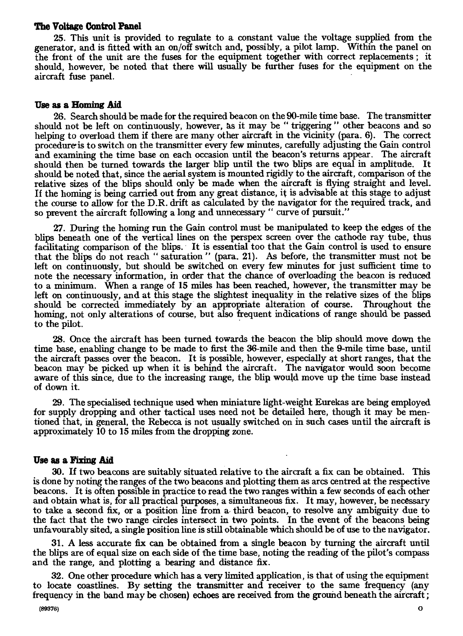#### **The Voltage Control Panel**

25. This unit is provided to regulate to a constant value the voltage supplied from the generator, and is fitted with an on/off switch and, possibly, a pilot lamp. Within the panel on the front of the unit are the fuses for the equipment together with correct replacements ; it should, however, be noted that there will usually be further fuses for the equipment on the aircraft fuse panel.

#### **Use as a Homing Aid**

26. Search should be made for the required beacon on the 90-mile time base. The transmitter should not be left on continuously, however, as it may be " triggering " other beacons and so helping to overload them if there are many other aircraft in the vicinity (para. 6). The correct procedure is to switch on the transmitter every few minutes, carefully adjusting the Gain control and examining the time base on each occasion until the beacon's returns appear. The aircraft should then be turned towards the larger blip until the two blips are equal in amplitude. It should be noted that, since the aerial system is mounted rigidly to the aircraft, comparison of the relative sizes of the blips should only be made when the aircraft is flying straight and level. If the homing is being carried out from any great distance, it is advisable at this stage to adjust the course to allow for the D.R. drift as calculated by the navigator for the required track, and so prevent the aircraft following a long and unnecessary " curve of pursuit."

27. During the homing run the Gain control must be manipulated to keep the edges of the blips beneath one of the vertical lines on the perspex screen over the cathode ray tube, thus facilitating comparison of the blips. It is essential too that the Gain control is used to ensure that the blips do not reach " saturation " (para. 21). As before, the transmitter must not be left on continuously, but should be switched on every few minutes for just sufficient time to note the necessary information, in order that the chance of overloading the beacon is reduced to a minimum. When a range of **15** miles has been reached, however, the transmitter may be left on continuously, and at this stage the slightest inequality in the relative sizes of the blips<br>should be corrected immediately by an appropriate alteration of course. Throughout the should be corrected immediately by an appropriate alteration of course. homing, not only alterations of course, but also frequent indications of range should be passed to the pilot.

28. Once the aircraft has been turned towards the beacon the blip should move down the time base, enabling change to be made to first the 36-mile and then the 9-mile time base, until the aircraft passes over the beacon. It is possible, however, especially at short ranges, that the beacon may be picked up when it is behind the aircraft. The navigator would soon become aware of this since, due to the increasing range, the blip would move up the time base instead of down it.

29. The specialised technique used when miniature light-weight Eurekas are being employed for supply dropping and other tactical uses need not be detailed here, though it may be mentioned that, in general, the Rebecca is not usually switched on in such cases until the aircraft is approximately 10 to 15 miles from the dropping zone.

#### **Use as a Fixing Aid**

30. If two beacons are suitably situated relative to the aircraft a fix can be obtained. This is done by noting the ranges of the two beacons and plotting them as arcs centred at the respective beacons. It is often possible in practice to read the two ranges within a few seconds of each other and obtain what is, for all practical purposes, a simultaneous fix. It may, however, be necessary to take a second fix, or a position line from a. third beacon, to resolve any ambiguity due to the fact that the two range circles intersect in two points. In the event of the beacons being unfavourably sited, a single position line is still obtainable which should be of use to the navigator.

31. A less accurate fix can be obtained from a single beacon by turning the aircraft until the blips are of equal size on each side of the time base, noting the reading of the pilot's compass and the range, and plotting a bearing and distance fix.

32. One other procedure which has a very limited application, is that of using the equipment to locate coastlines. By setting the transmitter and receiver to the same frequency (any frequency in the band may be chosen) echoes are received from the ground beneath the aircraft ;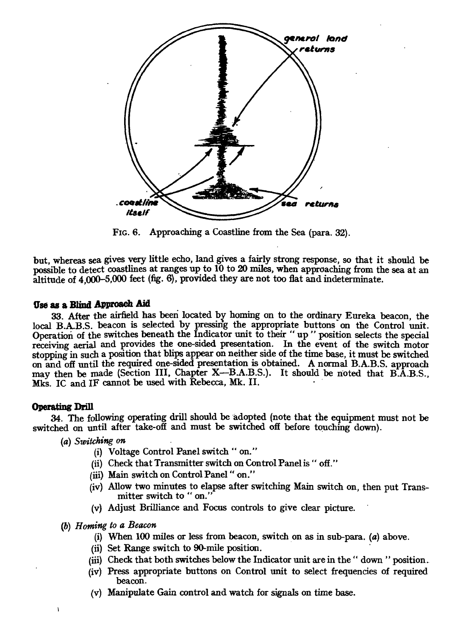

**FIG. 6. Approaching a Coastline from the Sea (para. 32).** 

**but, whereas sea gives very little echo, land gives a fairly strong response, so that it should be possible to detect coastlines at ranges up to 10 to 20 miles, when approaching from the sea at an altitude of 4,000-5,000 feet (fig. 6), provided they are not too flat and indeterminate.** 

#### **Use as a Blind Approach Aid**

**33. After the airfield has been located by homing on to the ordinary Eureka beacon, the**  local B.A.B.S. beacon is selected by pressing the appropriate buttons on the Control unit. **Operation of the switches beneath the Indicator unit to their " up " position selects the special receiving aerial and provides the one-sided presentation. In the event of the switch motor**  stopping in such a position that blips appear on neither side of the time base, it must be switched **on and off until the required one-sided presentation is obtained. A normal B.A.B.S. approach**  may then be made (Section III, Chapter X—B.A.B.S.). It should be noted that B.A.B.S., **Mks. IC and IF cannot be used with Rebecca, Mk. II.** 

#### **Operating Drill**

**34. The following operating drill should be adopted (note that the equipment must not be switched on until after take-off and must be switched off before touching down).** 

- *(a) Switching on* 
	- **(i) Voltage Control Panel switch " on."**
	- **(ii) Check that Transmitter switch on Control Panel is " off."**
	- **(iii) Main switch on Control Panel " on."**
	- **(iv) Allow two minutes to elapse after switching Main switch on, then put Transmitter switch to " on."**
	- **(v) Adjust Brilliance and Focus controls to give clear picture.**
- *(b) Homing to a Beacon* 
	- **(i) When 100 miles or less from beacon, switch on as in sub-para. (a) above.**
	- **(ii) Set Range switch to 90-mile position.**
	- **(iii) Check that both switches below the Indicator unit are in the " down " position .**.
	- **(iv) Press appropriate buttons on Control unit to select frequencies of required beacon.**
	- **(v) Manipulate Gain control and watch for signals on time base.**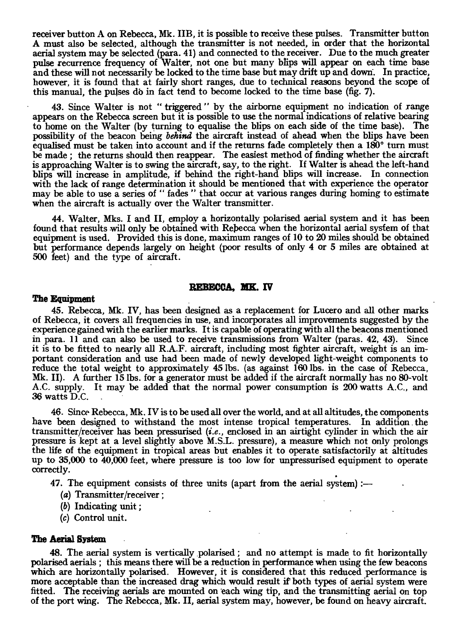**receiver button A on Rebecca, Mk. IIB, it is possible to receive these pulses. Transmitter button A must also be selected, although the transmitter is not needed, in order that the horizontal aerial system may be selected (para. 41) and connected to the receiver. Due to the much greater pulse recurrence frequency of Walter, not one but many blips will appear on each time base**  and these will not necessarily be locked to the time base but may drift up and down. In practice, **however, it is found that at fairly short ranges, due to technical reasons beyond the scope of this manual, the pulses do in fact tend to become locked to the time base (fig. 7).** 

**43. Since Walter is not " triggered " by the airborne equipment no indication of range appears on the Rebecca screen but it is possible to use the normal indications of relative bearing to home on the Walter (by turning to equalise the blips on each side of the time bass). The possibility of the beacon being** *behind* **the aircraft instead of ahead when the blips have been equalised must be taken into account and if the returns fade completely then a 180° turn must be made ; the returns should then reappear. The easiest method of finding whether the aircraft**  is approaching Walter is to swing the aircraft, say, to the right. If Walter is ahead the left-hand **blips will increase in amplitude, if behind the right-hand blips will increase. In connection with the lack of range determination it should be mentioned that with experience the operator may be able to use a series of " fades " that occur at various ranges during homing to estimate when the aircraft is actually over the Walter transmitter.** 

**44. Walter, Mks. I and II, employ a horizontally polarised aerial system and it has been found that results will only be obtained with Rebecca when the horizontal aerial sysfem of that equipment is used. Provided this is done, maximum ranges of 10 to 20 miles should be obtained but performance depends largely on height (poor results of only 4 or 5 miles are obtained at 500 feet) and the type of aircraft.** 

#### **REBECCA, MK. IV**

#### **The Equipment**

**45. Rebecca, Mk. IV, has been designed as a replacement for Lucero and all other marks of Rebecca, it covers all frequencies in use, and incorporates all improvements suggested by the experience gained with the earlier marks. It is capable of operating with all the beacons mentioned in para. 11 and can also be used to receive transmissions from Walter (paras. 42, 43). Since it is to be fitted to nearly all R.A.F. aircraft, including most fighter aircraft, weight is an important consideration and use had been made of newly developed light-weight components to reduce the total weight to approximately 45 lbs. (as against 160 lbs. in the case of Rebecca,**  Mk. II). A further 15 lbs. for a generator must be added if the aircraft normally has no 80-volt **A.C. supply. It may be added that the normal power consumption is 200 watts A.C., and 36 watts D.C.** 

**46. Since Rebecca, Mk. IV is to be used all over the world, and at all altitudes, the components**  have been designed to withstand the most intense tropical temperatures. In addition the **transmitter/receiver has been pressurised** *(i.e.,* **enclosed in an airtight cylinder in which the air pressure is kept at a level slightly above M.S.L. pressure), a measure which not only prolongs the life of the equipment in tropical areas but enables it to operate satisfactorily at altitudes up to 35,000 to 40,000 feet, where pressure is too low for unpressurised equipment to operate correctly.** 

**47. The equipment consists of three units (apart from the aerial system) :—** 

- **(a) Transmitter/receiver ;**
- **(b) Indicating unit ;**
- **(c) Control unit.**

#### **The Aerial System**

**48.** The aerial system is vertically polarised; and no attempt is made to fit horizontally **polarised aerials ; this means there will be a reduction in performance when using the few beacons which are horizontally polarised. However, it is considered that this reduced performance is more acceptable than the increased drag which would result if both types of aerial system were fitted. The receiving aerials are mounted on each wing tip, and the transmitting aerial on top of the port wing. The Rebecca, Mk. II, aerial system may, however, be found on heavy aircraft.**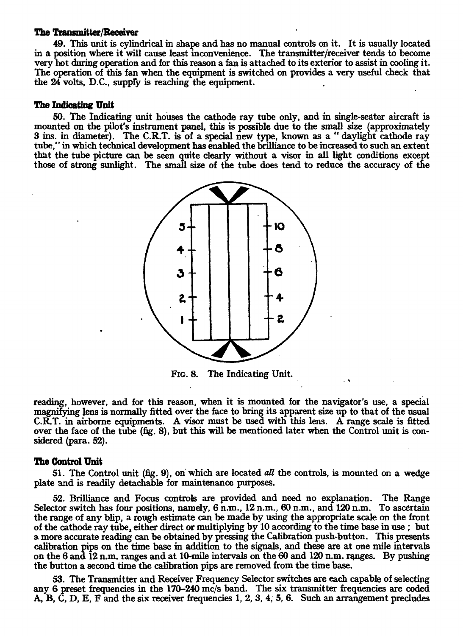#### **The Transmitter/Receiver**

**49. This unit is cylindrical in shape and has no manual controls on it. It is usually located in a position where it will cause least inconvenience. The transmitter/receiver tends to become very hot during operation and for this reason a fan is attached to its exterior to assist in cooling it. The operation of this fan when the equipment is switched on provides a very useful check that**  the 24 volts, D.C., supply is reaching the equipment.

#### *The* **Indicating Unit**

**50. The Indicating unit houses the cathode ray tube only, and in single-seater aircraft is mounted on the pilot's instrument panel, this is possible due to the small size (approximately 3 ins. in diameter). The C.R.T. is of a special new type, known as a " daylight cathode ray tube," in which technical development has enabled the brilliance to be increased to such an extent that the tube picture can be seen quite dearly without a visor in all light conditions except those of strong sunlight. The small size of the tube does tend to reduce the accuracy of the** 



**FIG. 8. The Indicating Unit.** 

**reading, however, and for this reason, when it is mounted for the navigator's use, a special magnifying lens is normally fitted over the face to bring its apparent size up to that of the usual C.R.T. in airborne equipments. A visor must be used with this lens. A range scale is fitted over the face of the tube (fig. 8), but this will be mentioned later when the Control unit is considered (para. 52).** 

#### **The Control Unit**

**51. The Control unit (fig. 9), on which are located** *all* **the controls, is mounted on a wedge plate and is readily detachable for maintenance purposes.** 

**52. Brilliance and Focus controls are provided and need no explanation. The Range Selector switch has four positions, namely, 6 n.m., 12 n.m., 60 n.m., and 120 n.m. To ascertain the range of any blip, a rough estimate can be made by using the appropriate scale on the front of the cathode ray tube, either direct or multiplying by 10 according to the time base in use ; but a more accurate reading can be obtained by pressing the Calibration push-button. This presents calibration pips on the time base in addition to the signals, and these are at one mile intervals on the 6 and 12 n.m. ranges and at 10-mile intervals on the 60 and 120 n.m. ranges. By pushing the button a second time the calibration pips are removed from the time base.** 

**53. The Transmitter and Receiver Frequency Selector switches are each capable of selecting any 6 preset frequencies in the 170-240 mc/s band. The six transmitter frequencies are coded A, B, C, D, E, F and the six receiver frequencies 1, 2, 3, 4, 5, 6. Such an arrangement precludes**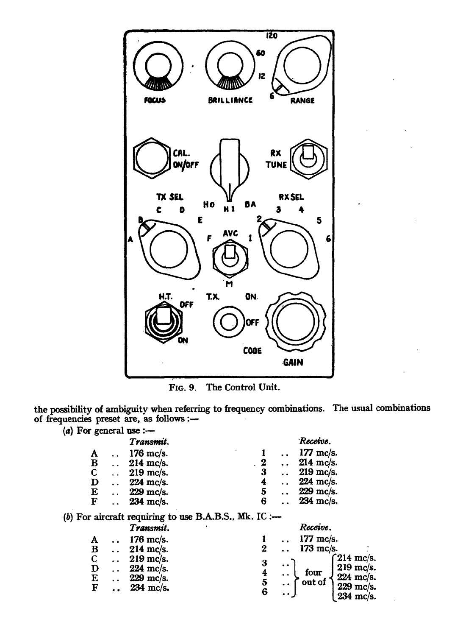

**FIG. 9. The Control Unit.** 

**the possibility of ambiguity when referring to frequency combinations. The usual combinations of frequencies preset are, as follows** 

| (a) For general use :- |                                                       |                  |           |                        |
|------------------------|-------------------------------------------------------|------------------|-----------|------------------------|
|                        | Transmit.                                             |                  |           | Receive.               |
| A                      | $176$ mc/s.                                           |                  |           | 177 mc/s.              |
| B                      | 214 mc/s.                                             | $\boldsymbol{2}$ |           | 214 mc/s.              |
| $\mathbf C$            | 219 mc/s.                                             | 3                |           | 219 mc/s.              |
| $\mathbf D$            | 224 mc/s.                                             | 4                |           | 224 mc/s.              |
| E                      | 229 mc/s.                                             | 5                |           | 229 mc/s.              |
| F                      | 234 mc/s.                                             | 6                |           | 234 mc/s.              |
|                        | (b) For aircraft requiring to use B.A.B.S., Mk. IC :- |                  |           |                        |
|                        | Transmit.                                             |                  |           | Receive.               |
| A                      | 176 mc/s.                                             |                  |           | 177 mc/s.              |
| $\bf{B}$               | $214$ mc/s.                                           | 2                |           | 173 mc/s.              |
| $\mathbf C$            | $219$ mc/s.                                           | 3                |           | $214 \text{ m}$ c/s.   |
| $\mathbf D$            | $224$ mc/s.                                           |                  | $\bullet$ | 219 mc/s.<br>four      |
| E                      | $229$ mc/s.                                           | $\frac{4}{5}$    |           | 224 mc/s.<br>out of    |
| F                      | 234 mc/s.                                             | 6                |           | 229 mc/s.<br>234 mc/s. |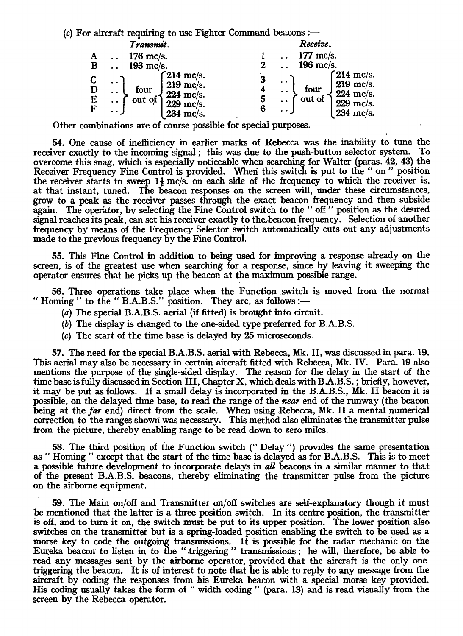*(c)* For aircraft requiring to use Fighter Command beacons *:—* 

|                       | Transmit.                                                                                                                                                                     | Receive.                                                                                                         |
|-----------------------|-------------------------------------------------------------------------------------------------------------------------------------------------------------------------------|------------------------------------------------------------------------------------------------------------------|
|                       | 176 mc/s.                                                                                                                                                                     | $177$ mc/s.                                                                                                      |
| $\bf{B}$              | $193$ mc/s.                                                                                                                                                                   | 196 mc/s.                                                                                                        |
| D<br>E<br>$\mathbf F$ | $\int$ 214 mc/s.<br>$\ddot{\phantom{1}}$<br>219 mc/s.<br>four<br>$\ddot{\phantom{a}}$<br>224 mc/s.<br>out of<br>$\ddot{\phantom{1}}$<br>$229$ mc/s.<br>$\cdot$ .<br>234 mc/s. | $\int 214$ mc/s.<br>$219$ mc/s.<br>four<br>224 mc/s.<br>out of<br>J<br>$229$ mc/s.<br>6<br>234 mc/s.<br>$\cdots$ |

Other combinations are of course possible for special purposes.

54. One cause of inefficiency in earlier marks of Rebecca was the inability to tune the receiver exactly to the incoming signal ; this was due to the push-button selector system. To overcome this snag, which is especially noticeable when searching for Walter (paras. 42, 43) the Receiver Frequency Fine Control is provided. When this switch is put to the " on " position the receiver starts to sweep  $1\frac{1}{2}$  mc/s. on each side of the frequency to which the receiver is, at that instant, tuned. The beacon responses on the screen will, under these circumstances, grow to a peak as the receiver passes through the exact beacon frequency and then subside again. The operator, by selecting the Fine Control switch to the " off " position as the desired signal reaches its peak, can set his receiver exactly to thebeacon frequency. Selection of another frequency by means of the Frequency Selector switch automatically cuts out any adjustments made to the previous frequency by the Fine Control.

55. This Fine Control in addition to being used for improving a response already on the screen, is of the greatest use when searching for a response, since by leaving it sweeping the operator ensures that he picks up the beacon at the maximum possible range.

56. Three operations take place when the Function switch is moved from the normal " Homing " to the " B.A.B.S." position. They are, as follows :—

- (a) The special B.A.B.S. aerial (if fitted) is brought into circuit.
- (b) The display is changed to the one-sided type preferred for B.A.B.S.
- (c) The start of the time base is delayed by 25 microseconds.

57. The need for the special B.A.B.S. aerial with Rebecca, Mk. II, was discussed in para. 19. This aerial may also be necessary in certain aircraft fitted with Rebecca, Mk. IV. Para. 19 also mentions the purpose of the single-sided display. The reason for the delay in the start of the time base is fully discussed in Section III, Chapter X, which deals with B.A.B.S. ; briefly, however, it may be put as follows. If a small delay is incorporated in the B.A.B.S., Mk. II beacon it is possible, on the delayed time base, to read the range of the *near* end of the runway (the beacon being at the far end) direct from the scale. When using Rebecca, Mk. II a mental numerical correction to the ranges shown was necessary. This method also eliminates the transmitter pulse from the picture, thereby enabling range to be read down to zero miles.

58. The third position of the Function switch (" Delay ") provides the same presentation as " Homing " except that the start of the time base is delayed as for B.A.B.S. This is to meet a possible future development to incorporate delays in *all* beacons in a similar manner to that of the present B.A.B.S. beacons, thereby eliminating the transmitter pulse from the picture on the airborne equipment.

59. The Main on/off and Transmitter on/off switches are self-explanatory though it must be mentioned that the latter is a three position switch. In its centre position, the transmitter is off, and to turn it on, the switch must be put to its upper position. The lower position also switches on the transmitter but is a spring-loaded position enabling the switch to be used as a morse key to code the outgoing transmissions. It is possible for the radar mechanic on the Eureka beacon to listen in to the " triggering " transmissions ; he will, therefore, be able to read any messages sent by the airborne operator, provided that the aircraft is the only one triggering the beacon. It is of interest to note that he is able to reply to any message from the aircraft by coding the responses from his Eureka beacon with a special morse key provided. His coding usually takes the form of " width coding " (para. 13) and is read visually from the screen by the Rebecca operator.